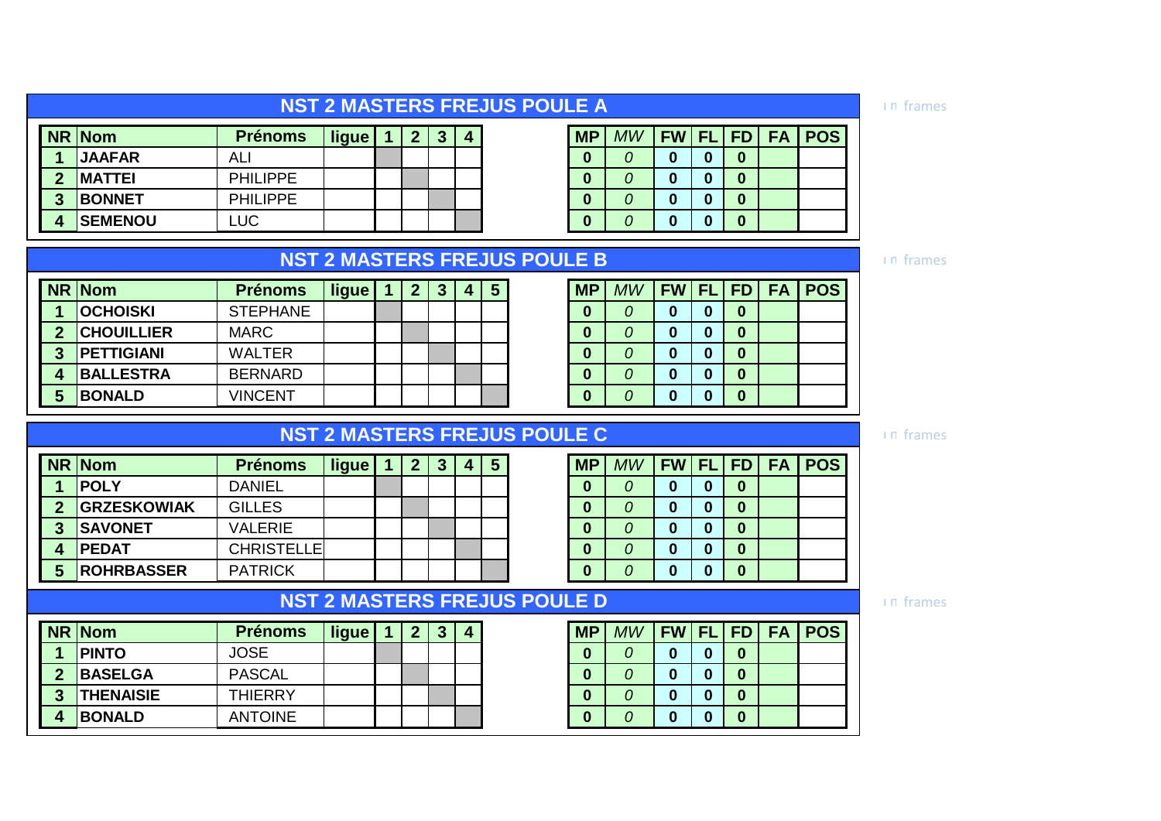| <b>NST 2 MASTERS FREJUS POULE A</b> |  |
|-------------------------------------|--|
|                                     |  |

|   | NR Nom         | <b>Prénoms</b>  | ligue |  | 4 | <b>MP</b> | MW | FW FL FD |   |   | <b>FA   POS</b> |
|---|----------------|-----------------|-------|--|---|-----------|----|----------|---|---|-----------------|
|   | <b>JAAFAR</b>  | AL              |       |  |   |           |    |          |   | 0 |                 |
| ∩ | <b>IMATTEI</b> | <b>PHILIPPE</b> |       |  |   |           |    |          |   | 0 |                 |
| 3 | <b>BONNET</b>  | <b>PHILIPPE</b> |       |  |   |           |    |          | w | 0 |                 |
|   | <b>SEMENOU</b> | LUC             |       |  |   |           |    |          | w | 0 |                 |

| <b>MP</b>        | $MW$   FW   FL   FD |          |          |  | <b>FA POS</b> |
|------------------|---------------------|----------|----------|--|---------------|
| $\bf{0}$         | 0                   | 0        | 0        |  |               |
| $\bf{0}$         | Ω                   | 0        | 0        |  |               |
| $\bf{0}$         | 0                   | $\bf{0}$ | 0        |  |               |
| $\boldsymbol{0}$ | Ω                   | 0        | $\bf{0}$ |  |               |
|                  |                     |          |          |  |               |

**NR Nom ligue 1 2 3 4 5 MP** *MW* **FW FL FD FA POS**

### **NST 2 MASTERS FREJUS POULE B**

|   | NR Nom            | <b>Prénoms</b>  | ligue | כי | З | 4 | 5 | <b>MP</b> | MW | <b>FW FL</b> | l FI             |
|---|-------------------|-----------------|-------|----|---|---|---|-----------|----|--------------|------------------|
|   | <b>OCHOISKI</b>   | <b>STEPHANE</b> |       |    |   |   |   | 0         |    |              | $\boldsymbol{0}$ |
| ◠ | <b>CHOUILLIER</b> | <b>MARC</b>     |       |    |   |   |   | 0         |    |              | $\bf{0}$         |
| ◠ | <b>PETTIGIANI</b> | <b>WALTER</b>   |       |    |   |   |   | 0         | 0  |              | $\boldsymbol{0}$ |
|   | <b>BALLESTRA</b>  | <b>BERNARD</b>  |       |    |   |   |   | 0         |    | Ω            | $\boldsymbol{0}$ |
|   | <b>BONALD</b>     | <b>VINCENT</b>  |       |    |   |   |   | 0         |    |              | $\boldsymbol{0}$ |

### **NST 2 MASTERS FREJUS POULE C**

|                  | NR Nom             | <b>Prénoms</b>    | ligue | 2 |  | 5 | <b>MP</b> | MW | <b>FW FL</b> | l FI             |
|------------------|--------------------|-------------------|-------|---|--|---|-----------|----|--------------|------------------|
|                  | <b>POLY</b>        | <b>DANIEL</b>     |       |   |  |   |           |    | 0            | $\bf{0}$         |
| $\boldsymbol{2}$ | <b>GRZESKOWIAK</b> | <b>GILLES</b>     |       |   |  |   |           |    |              | $\boldsymbol{0}$ |
| 3                | <b>SAVONET</b>     | <b>VALERIE</b>    |       |   |  |   |           |    |              | $\boldsymbol{0}$ |
|                  | <b>PEDAT</b>       | <b>CHRISTELLE</b> |       |   |  |   |           |    |              | $\boldsymbol{0}$ |
| 5                | <b>ROHRBASSER</b>  | <b>PATRICK</b>    |       |   |  |   |           |    |              | $\boldsymbol{0}$ |

### **NST 2 MASTERS FREJUS POULE D**

|   | NR Nom           | <b>Prénoms</b> | ligue | ◠ | - 2<br>w. | $\overline{4}$ | <b>MP</b> | MW | <b>FW</b> | <b>FL</b> |
|---|------------------|----------------|-------|---|-----------|----------------|-----------|----|-----------|-----------|
|   | <b>PINTO</b>     | <b>JOSE</b>    |       |   |           |                |           |    |           |           |
| າ | <b>BASELGA</b>   | <b>PASCAL</b>  |       |   |           |                |           |    |           |           |
| 2 | <b>THENAISIE</b> | <b>THIERRY</b> |       |   |           |                |           |    |           |           |
|   | <b>BONALD</b>    | <b>ANTOINE</b> |       |   |           |                | w         |    |           |           |

# **NR Nom ligue 1 2 3 4 5 MP** *MW* **FW FL FD FA POS**

| 0        | $\boldsymbol{0}$ | $\bf{0}$ | $\bf{0}$ |  |
|----------|------------------|----------|----------|--|
| 0        | $\bf{0}$         | $\bf{0}$ | $\bf{0}$ |  |
| 0        | $\bf{0}$         | $\bf{0}$ | $\bf{0}$ |  |
| $\Omega$ | $\bf{0}$         | $\bf{0}$ | $\bf{0}$ |  |

**NR Nom ligue 1 2 3 4 MP** *MW* **FW FL FD FA POS**

#### un frames

frames

frames

frames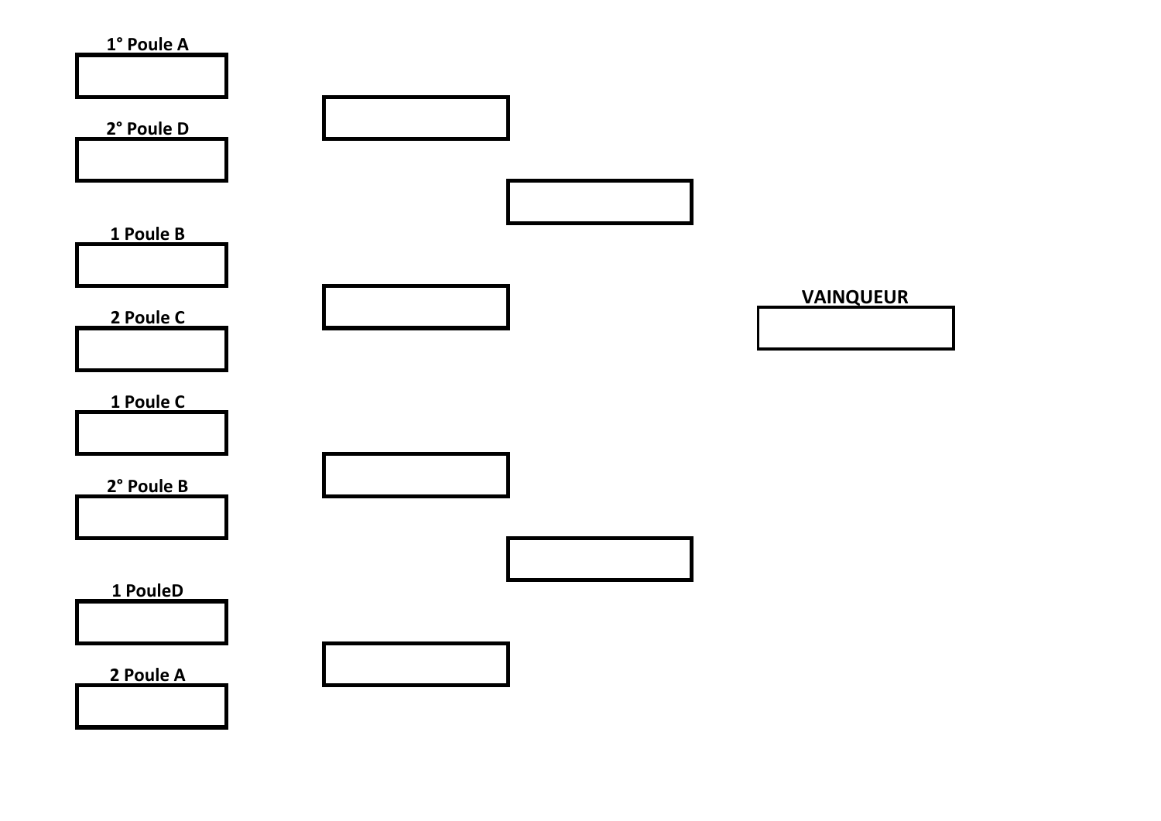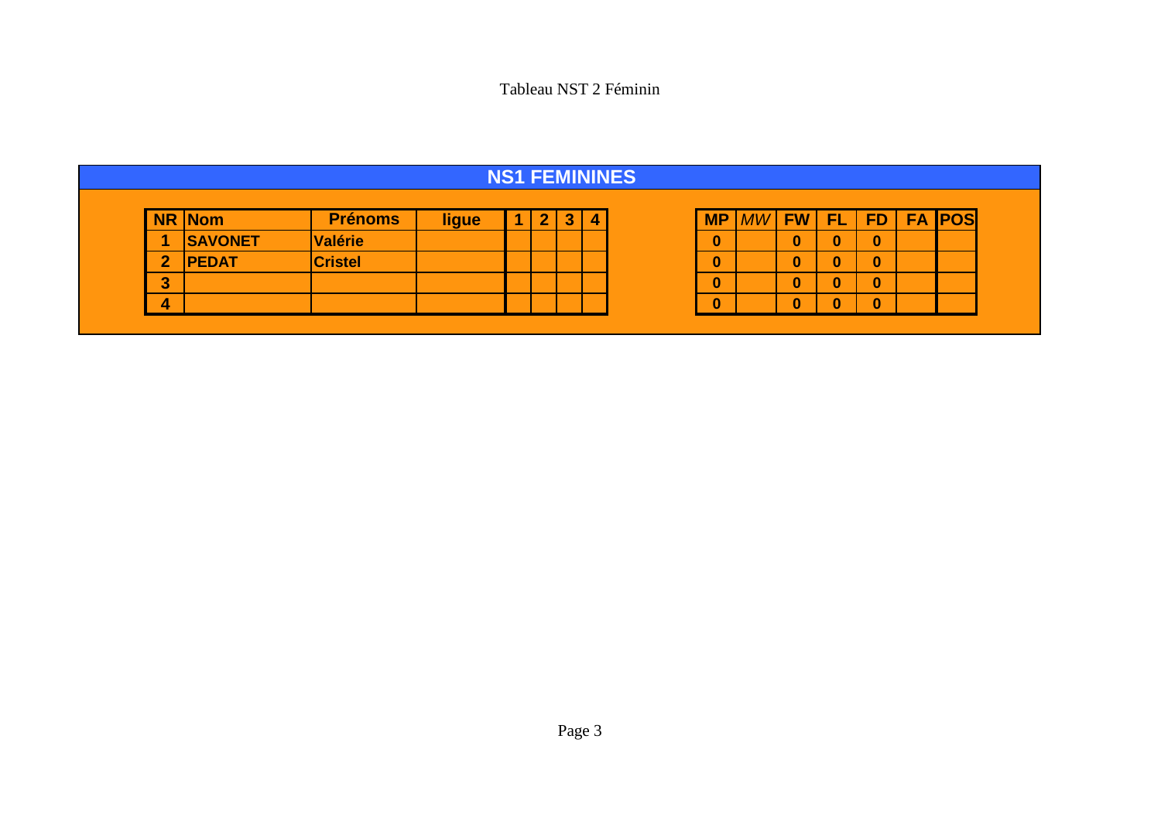Tableau NST 2 Féminin

| <b>NS1 FEMININES</b> |                      |                |       |  |              |                         |   |  |           |    |           |           |           |           |            |
|----------------------|----------------------|----------------|-------|--|--------------|-------------------------|---|--|-----------|----|-----------|-----------|-----------|-----------|------------|
| <b>NR</b>            | $\sqrt{\frac{1}{1}}$ | <b>Prénoms</b> | ligue |  | $\mathbf{2}$ | $\overline{\mathbf{3}}$ | 4 |  | <b>MP</b> | MW | <b>FW</b> | <b>FL</b> | <b>FD</b> | <b>FA</b> | <b>POS</b> |
| и                    | <b>SAVONET</b>       | <b>Valérie</b> |       |  |              |                         |   |  | 0         |    | O         | 0         | 0         |           |            |
| $\overline{2}$       | <b>PEDAT</b>         | <b>Cristel</b> |       |  |              |                         |   |  | 0         |    | 0         | $\bf{0}$  | n<br>ν    |           |            |
| 3                    |                      |                |       |  |              |                         |   |  | 0         |    | 0         | $\bf{0}$  | 0         |           |            |
| 4                    |                      |                |       |  |              |                         |   |  | 0         |    | 0         | 0         | 0         |           |            |